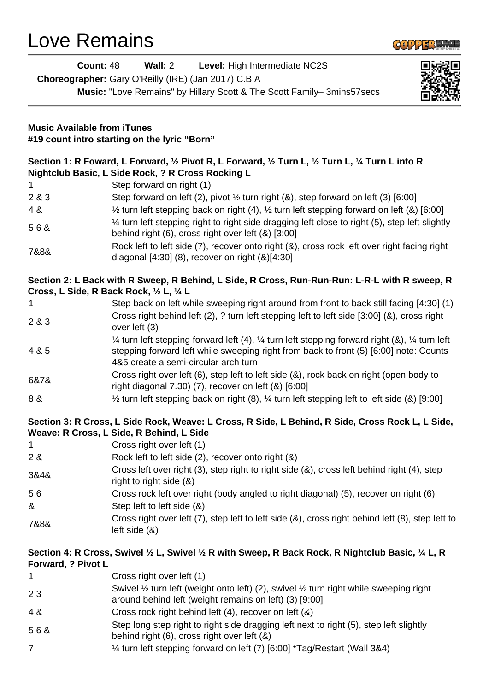# Love Remains



| Count: 48                          | Wall: 2 Level: High Intermediate NC2S<br>Choreographer: Gary O'Reilly (IRE) (Jan 2017) C.B.A<br>Music: "Love Remains" by Hillary Scott & The Scott Family-3mins57secs                                                             |  |
|------------------------------------|-----------------------------------------------------------------------------------------------------------------------------------------------------------------------------------------------------------------------------------|--|
| <b>Music Available from iTunes</b> | #19 count intro starting on the lyric "Born"                                                                                                                                                                                      |  |
|                                    | Section 1: R Foward, L Forward, 1/2 Pivot R, L Forward, 1/2 Turn L, 1/2 Turn L, 1/4 Turn L into R<br>Nightclub Basic, L Side Rock, ? R Cross Rocking L                                                                            |  |
|                                    | Step forward on right (1)                                                                                                                                                                                                         |  |
| 2 & 3                              | Step forward on left (2), pivot $\frac{1}{2}$ turn right (&), step forward on left (3) [6:00]                                                                                                                                     |  |
| 4 &                                | $\frac{1}{2}$ turn left stepping back on right (4), $\frac{1}{2}$ turn left stepping forward on left (&) [6:00]                                                                                                                   |  |
| 56&                                | 1⁄4 turn left stepping right to right side dragging left close to right (5), step left slightly<br>behind right (6), cross right over left (&) [3:00]                                                                             |  |
| 7&8&                               | Rock left to left side (7), recover onto right (&), cross rock left over right facing right<br>diagonal [4:30] (8), recover on right (&)[4:30]                                                                                    |  |
|                                    | Section 2: L Back with R Sweep, R Behind, L Side, R Cross, Run-Run-Run: L-R-L with R sweep, R<br>Cross, L Side, R Back Rock, 1/2 L, 1/4 L                                                                                         |  |
| 1                                  | Step back on left while sweeping right around from front to back still facing [4:30] (1)                                                                                                                                          |  |
| 2 & 3                              | Cross right behind left (2), ? turn left stepping left to left side [3:00] (&), cross right<br>over left (3)                                                                                                                      |  |
| 4 & 5                              | 1⁄4 turn left stepping forward left (4), 1⁄4 turn left stepping forward right (&), 1⁄4 turn left<br>stepping forward left while sweeping right from back to front (5) [6:00] note: Counts<br>4&5 create a semi-circular arch turn |  |
| 6&7&                               | Cross right over left (6), step left to left side (&), rock back on right (open body to<br>right diagonal $7.30$ ) $(7)$ , recover on left $(8)$ $[6:00]$                                                                         |  |
| 8 &                                | 1/2 turn left stepping back on right (8), 1/4 turn left stepping left to left side (&) [9:00]                                                                                                                                     |  |
|                                    | Section 3: R Cross, L Side Rock, Weave: L Cross, R Side, L Behind, R Side, Cross Rock L, L Side,<br>Weave: R Cross, L Side, R Behind, L Side                                                                                      |  |
| 1                                  | Cross right over left (1)                                                                                                                                                                                                         |  |
| 2 &                                | Rock left to left side (2), recover onto right (&)                                                                                                                                                                                |  |
| 3&4&                               | Cross left over right (3), step right to right side (&), cross left behind right (4), step<br>right to right side (&)                                                                                                             |  |
| 56                                 | Cross rock left over right (body angled to right diagonal) (5), recover on right (6)                                                                                                                                              |  |
| &                                  | Step left to left side (&)                                                                                                                                                                                                        |  |
| 7&8&                               | Cross right over left (7), step left to left side (&), cross right behind left (8), step left to<br>left side $(8)$                                                                                                               |  |
| Forward, ? Pivot L                 | Section 4: R Cross, Swivel $\frac{1}{2}$ L, Swivel $\frac{1}{2}$ R with Sweep, R Back Rock, R Nightclub Basic, $\frac{1}{4}$ L, R                                                                                                 |  |
| 1                                  | Cross right over left (1)                                                                                                                                                                                                         |  |
| 23                                 | Swivel $\frac{1}{2}$ turn left (weight onto left) (2), swivel $\frac{1}{2}$ turn right while sweeping right<br>around behind left (weight remains on left) (3) [9:00]                                                             |  |
| 4 &                                | Cross rock right behind left (4), recover on left (&)                                                                                                                                                                             |  |
| 56&                                | Step long step right to right side dragging left next to right (5), step left slightly<br>behind right (6), cross right over left (&)                                                                                             |  |
| $\overline{7}$                     | 1⁄4 turn left stepping forward on left (7) [6:00] *Tag/Restart (Wall 3&4)                                                                                                                                                         |  |